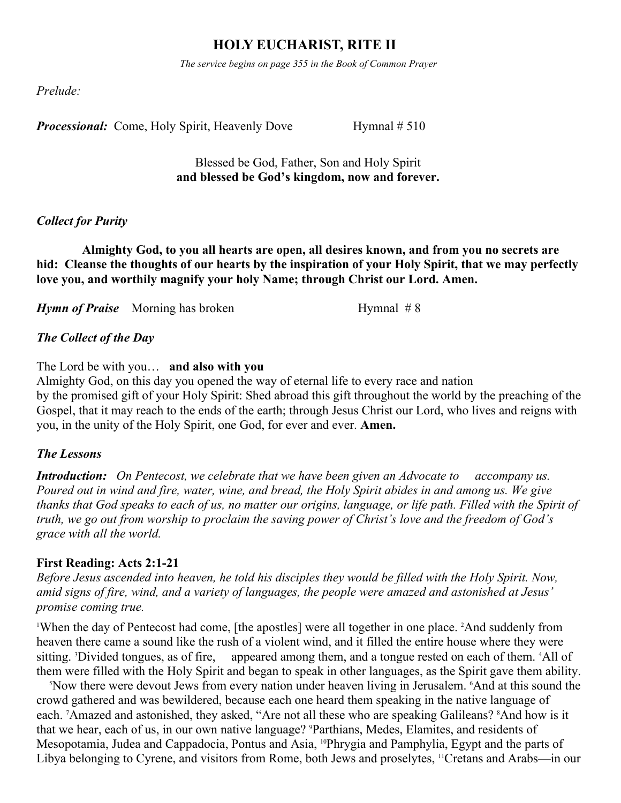# **HOLY EUCHARIST, RITE II**

*The service begins on page 355 in the Book of Common Prayer*

*Prelude:* 

*Processional:* Come, Holy Spirit, Heavenly Dove Hymnal # 510

Blessed be God, Father, Son and Holy Spirit **and blessed be God's kingdom, now and forever.**

## *Collect for Purity*

**Almighty God, to you all hearts are open, all desires known, and from you no secrets are hid: Cleanse the thoughts of our hearts by the inspiration of your Holy Spirit, that we may perfectly love you, and worthily magnify your holy Name; through Christ our Lord. Amen.**

*Hymn of Praise* Morning has broken Hymnal # 8

## *The Collect of the Day*

The Lord be with you… **and also with you**

Almighty God, on this day you opened the way of eternal life to every race and nation by the promised gift of your Holy Spirit: Shed abroad this gift throughout the world by the preaching of the Gospel, that it may reach to the ends of the earth; through Jesus Christ our Lord, who lives and reigns with you, in the unity of the Holy Spirit, one God, for ever and ever. **Amen.** 

## *The Lessons*

*Introduction: On Pentecost, we celebrate that we have been given an Advocate to accompany us. Poured out in wind and fire, water, wine, and bread, the Holy Spirit abides in and among us. We give thanks that God speaks to each of us, no matter our origins, language, or life path. Filled with the Spirit of truth, we go out from worship to proclaim the saving power of Christ's love and the freedom of God's grace with all the world.*

#### **First Reading: Acts 2:1-21**

*Before Jesus ascended into heaven, he told his disciples they would be filled with the Holy Spirit. Now, amid signs of fire, wind, and a variety of languages, the people were amazed and astonished at Jesus' promise coming true.*

<sup>1</sup>When the day of Pentecost had come, [the apostles] were all together in one place. 2And suddenly from heaven there came a sound like the rush of a violent wind, and it filled the entire house where they were sitting. 3Divided tongues, as of fire, appeared among them, and a tongue rested on each of them. 4All of them were filled with the Holy Spirit and began to speak in other languages, as the Spirit gave them ability.

<sup>5</sup>Now there were devout Jews from every nation under heaven living in Jerusalem. 6And at this sound the crowd gathered and was bewildered, because each one heard them speaking in the native language of each. <sup>7</sup>Amazed and astonished, they asked, "Are not all these who are speaking Galileans? <sup>8</sup>And how is it that we hear, each of us, in our own native language? 9Parthians, Medes, Elamites, and residents of Mesopotamia, Judea and Cappadocia, Pontus and Asia, <sup>10</sup>Phrygia and Pamphylia, Egypt and the parts of Libya belonging to Cyrene, and visitors from Rome, both Jews and proselytes, 11Cretans and Arabs—in our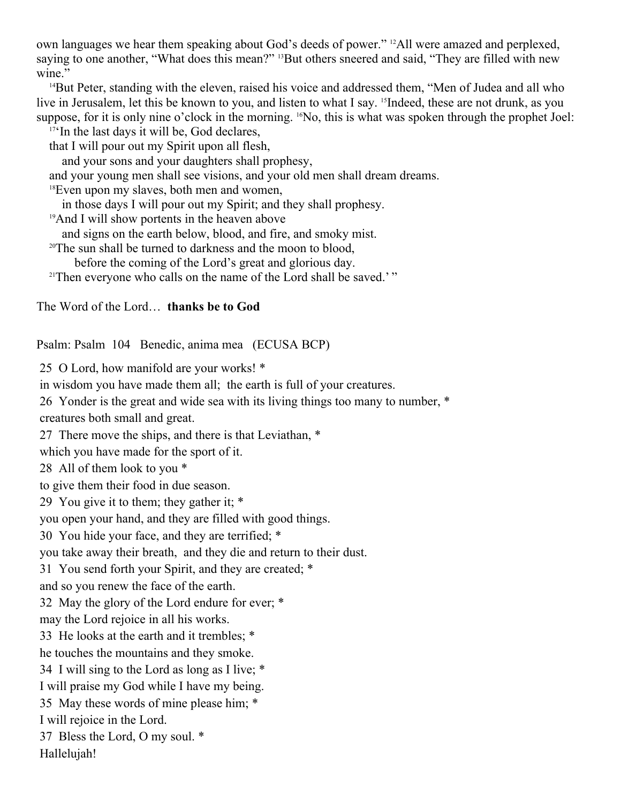own languages we hear them speaking about God's deeds of power." 12All were amazed and perplexed, saying to one another, "What does this mean?" <sup>13</sup>But others sneered and said, "They are filled with new wine."

<sup>14</sup>But Peter, standing with the eleven, raised his voice and addressed them, "Men of Judea and all who live in Jerusalem, let this be known to you, and listen to what I say. <sup>15</sup>Indeed, these are not drunk, as you suppose, for it is only nine o'clock in the morning. <sup>16</sup>No, this is what was spoken through the prophet Joel:

<sup>17</sup>In the last days it will be, God declares,

that I will pour out my Spirit upon all flesh,

and your sons and your daughters shall prophesy,

and your young men shall see visions, and your old men shall dream dreams.

<sup>18</sup>Even upon my slaves, both men and women,

in those days I will pour out my Spirit; and they shall prophesy.

<sup>19</sup>And I will show portents in the heaven above

and signs on the earth below, blood, and fire, and smoky mist.

<sup>20</sup>The sun shall be turned to darkness and the moon to blood,

before the coming of the Lord's great and glorious day.

<sup>21</sup>Then everyone who calls on the name of the Lord shall be saved.'"

#### The Word of the Lord… **thanks be to God**

Psalm: Psalm 104 Benedic, anima mea (ECUSA BCP)

25 O Lord, how manifold are your works! \*

in wisdom you have made them all; the earth is full of your creatures.

26 Yonder is the great and wide sea with its living things too many to number, \*

creatures both small and great.

27 There move the ships, and there is that Leviathan, \*

which you have made for the sport of it.

28 All of them look to you \*

to give them their food in due season.

29 You give it to them; they gather it; \*

you open your hand, and they are filled with good things.

30 You hide your face, and they are terrified; \*

you take away their breath, and they die and return to their dust.

31 You send forth your Spirit, and they are created; \*

and so you renew the face of the earth.

32 May the glory of the Lord endure for ever; \*

may the Lord rejoice in all his works.

33 He looks at the earth and it trembles; \*

he touches the mountains and they smoke.

34 I will sing to the Lord as long as I live; \*

I will praise my God while I have my being.

35 May these words of mine please him; \*

I will rejoice in the Lord.

37 Bless the Lord, O my soul. \*

Hallelujah!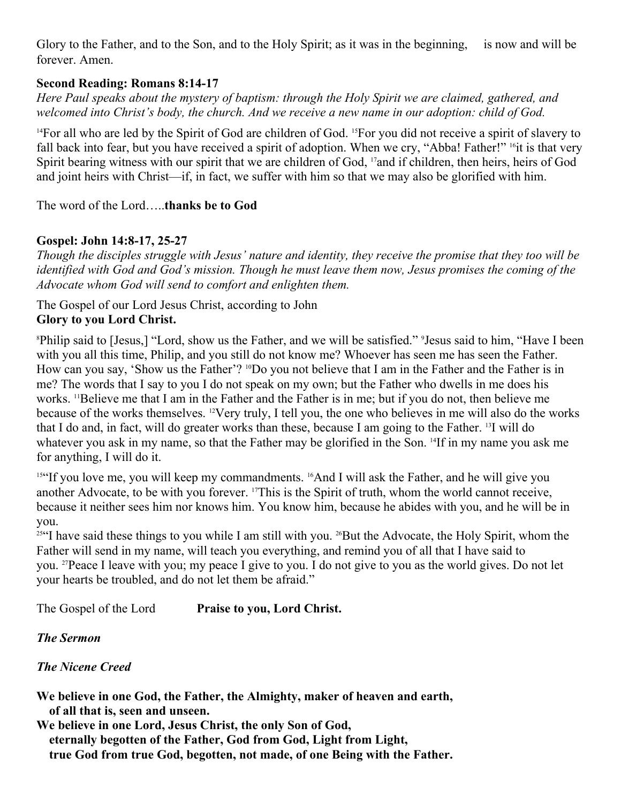Glory to the Father, and to the Son, and to the Holy Spirit; as it was in the beginning, is now and will be forever. Amen.

## **Second Reading: Romans 8:14-17**

*Here Paul speaks about the mystery of baptism: through the Holy Spirit we are claimed, gathered, and welcomed into Christ's body, the church. And we receive a new name in our adoption: child of God.*

<sup>14</sup>For all who are led by the Spirit of God are children of God. <sup>15</sup>For you did not receive a spirit of slavery to fall back into fear, but you have received a spirit of adoption. When we cry, "Abba! Father!" <sup>16</sup>it is that very Spirit bearing witness with our spirit that we are children of God, <sup>17</sup>and if children, then heirs, heirs of God and joint heirs with Christ—if, in fact, we suffer with him so that we may also be glorified with him.

The word of the Lord…..**thanks be to God**

## **Gospel: John 14:8-17, 25-27**

*Though the disciples struggle with Jesus' nature and identity, they receive the promise that they too will be identified with God and God's mission. Though he must leave them now, Jesus promises the coming of the Advocate whom God will send to comfort and enlighten them.*

The Gospel of our Lord Jesus Christ, according to John **Glory to you Lord Christ.**

<sup>8</sup>Philip said to [Jesus,] "Lord, show us the Father, and we will be satisfied." <sup>9</sup>Jesus said to him, "Have I been with you all this time, Philip, and you still do not know me? Whoever has seen me has seen the Father. How can you say, 'Show us the Father'? <sup>10</sup>Do you not believe that I am in the Father and the Father is in me? The words that I say to you I do not speak on my own; but the Father who dwells in me does his works. 11Believe me that I am in the Father and the Father is in me; but if you do not, then believe me because of the works themselves. 12Very truly, I tell you, the one who believes in me will also do the works that I do and, in fact, will do greater works than these, because I am going to the Father. 13I will do whatever you ask in my name, so that the Father may be glorified in the Son. <sup>14</sup>If in my name you ask me for anything, I will do it.

<sup>15"</sup>If you love me, you will keep my commandments. <sup>16</sup>And I will ask the Father, and he will give you another Advocate, to be with you forever. 17This is the Spirit of truth, whom the world cannot receive, because it neither sees him nor knows him. You know him, because he abides with you, and he will be in you.

<sup>25"</sup>I have said these things to you while I am still with you. <sup>26</sup>But the Advocate, the Holy Spirit, whom the Father will send in my name, will teach you everything, and remind you of all that I have said to you. 27Peace I leave with you; my peace I give to you. I do not give to you as the world gives. Do not let your hearts be troubled, and do not let them be afraid."

The Gospel of the Lord **Praise to you, Lord Christ.** 

*The Sermon*

*The Nicene Creed*

**We believe in one God, the Father, the Almighty, maker of heaven and earth, of all that is, seen and unseen.**

**We believe in one Lord, Jesus Christ, the only Son of God, eternally begotten of the Father, God from God, Light from Light, true God from true God, begotten, not made, of one Being with the Father.**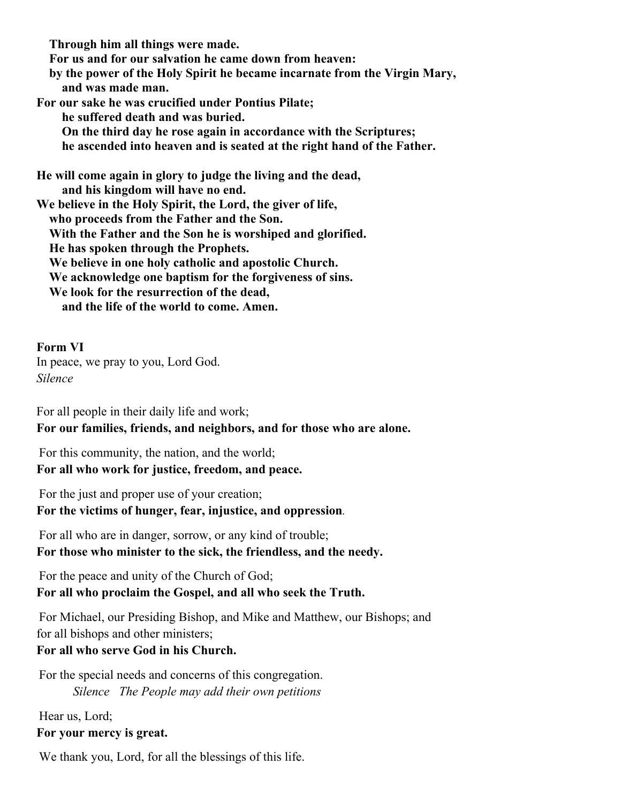**Through him all things were made. For us and for our salvation he came down from heaven: by the power of the Holy Spirit he became incarnate from the Virgin Mary, and was made man. For our sake he was crucified under Pontius Pilate; he suffered death and was buried. On the third day he rose again in accordance with the Scriptures; he ascended into heaven and is seated at the right hand of the Father. He will come again in glory to judge the living and the dead, and his kingdom will have no end. We believe in the Holy Spirit, the Lord, the giver of life, who proceeds from the Father and the Son. With the Father and the Son he is worshiped and glorified. He has spoken through the Prophets. We believe in one holy catholic and apostolic Church. We acknowledge one baptism for the forgiveness of sins. We look for the resurrection of the dead, and the life of the world to come. Amen.**

#### **Form VI** In peace, we pray to you, Lord God. *Silence*

For all people in their daily life and work; **For our families, friends, and neighbors, and for those who are alone.**

For this community, the nation, and the world; **For all who work for justice, freedom, and peace.**

For the just and proper use of your creation; **For the victims of hunger, fear, injustice, and oppression***.*

For all who are in danger, sorrow, or any kind of trouble; **For those who minister to the sick, the friendless, and the needy.**

For the peace and unity of the Church of God; **For all who proclaim the Gospel, and all who seek the Truth.**

For Michael, our Presiding Bishop, and Mike and Matthew, our Bishops; and for all bishops and other ministers;

## **For all who serve God in his Church.**

For the special needs and concerns of this congregation. *Silence The People may add their own petitions*

# Hear us, Lord; **For your mercy is great.**

We thank you, Lord, for all the blessings of this life.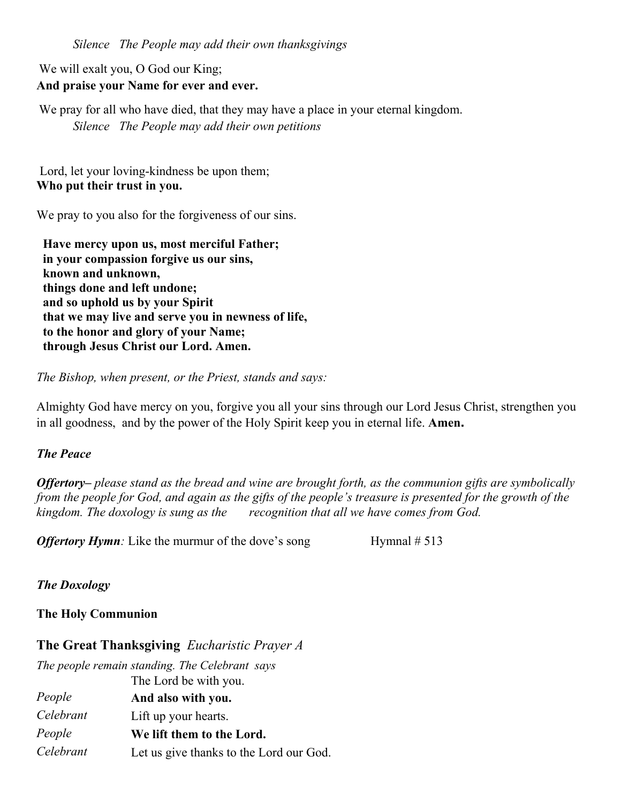*Silence The People may add their own thanksgivings*

We will exalt you, O God our King; **And praise your Name for ever and ever.**

We pray for all who have died, that they may have a place in your eternal kingdom. *Silence The People may add their own petitions*

 Lord, let your loving-kindness be upon them; **Who put their trust in you.**

We pray to you also for the forgiveness of our sins.

 **Have mercy upon us, most merciful Father; in your compassion forgive us our sins, known and unknown, things done and left undone; and so uphold us by your Spirit that we may live and serve you in newness of life, to the honor and glory of your Name; through Jesus Christ our Lord. Amen.**

*The Bishop, when present, or the Priest, stands and says:* 

Almighty God have mercy on you, forgive you all your sins through our Lord Jesus Christ, strengthen you in all goodness, and by the power of the Holy Spirit keep you in eternal life. **Amen.**

## *The Peace*

*Offertory– please stand as the bread and wine are brought forth, as the communion gifts are symbolically from the people for God, and again as the gifts of the people's treasure is presented for the growth of the kingdom. The doxology is sung as the recognition that all we have comes from God.* 

*Offertory Hymn*: Like the murmur of the dove's song Hymnal # 513

*The Doxology*

**The Holy Communion** 

**The Great Thanksgiving** *Eucharistic Prayer A*

*The people remain standing. The Celebrant says* The Lord be with you.

|           | $1\,\text{me}$ Lorg ov $\text{min}$ , $\text{out}$ |
|-----------|----------------------------------------------------|
| People    | And also with you.                                 |
| Celebrant | Lift up your hearts.                               |
| People    | We lift them to the Lord.                          |
| Celebrant | Let us give thanks to the Lord our God.            |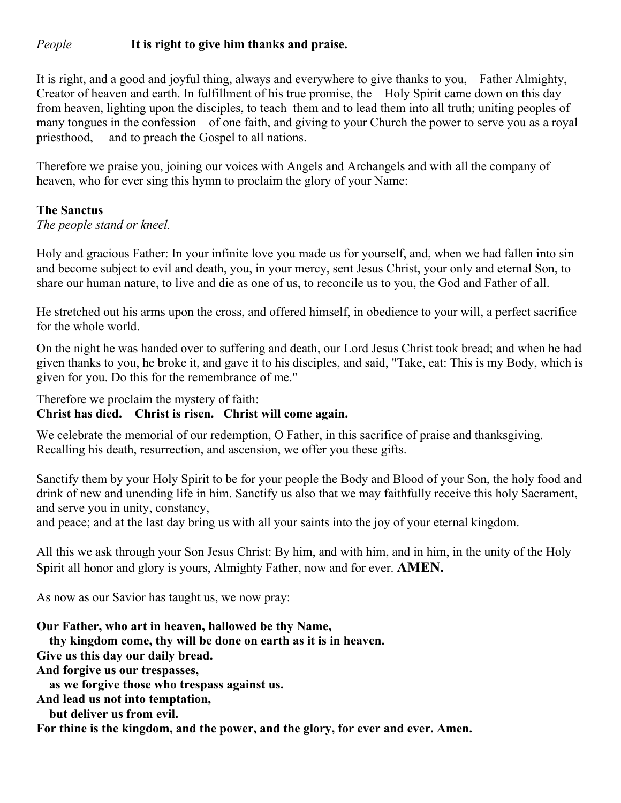# *People* **It is right to give him thanks and praise.**

It is right, and a good and joyful thing, always and everywhere to give thanks to you, Father Almighty, Creator of heaven and earth. In fulfillment of his true promise, the Holy Spirit came down on this day from heaven, lighting upon the disciples, to teach them and to lead them into all truth; uniting peoples of many tongues in the confession of one faith, and giving to your Church the power to serve you as a royal priesthood, and to preach the Gospel to all nations.

Therefore we praise you, joining our voices with Angels and Archangels and with all the company of heaven, who for ever sing this hymn to proclaim the glory of your Name:

## **The Sanctus**

#### *The people stand or kneel.*

Holy and gracious Father: In your infinite love you made us for yourself, and, when we had fallen into sin and become subject to evil and death, you, in your mercy, sent Jesus Christ, your only and eternal Son, to share our human nature, to live and die as one of us, to reconcile us to you, the God and Father of all.

He stretched out his arms upon the cross, and offered himself, in obedience to your will, a perfect sacrifice for the whole world.

On the night he was handed over to suffering and death, our Lord Jesus Christ took bread; and when he had given thanks to you, he broke it, and gave it to his disciples, and said, "Take, eat: This is my Body, which is given for you. Do this for the remembrance of me."

Therefore we proclaim the mystery of faith:

## **Christ has died. Christ is risen. Christ will come again.**

We celebrate the memorial of our redemption, O Father, in this sacrifice of praise and thanksgiving. Recalling his death, resurrection, and ascension, we offer you these gifts.

Sanctify them by your Holy Spirit to be for your people the Body and Blood of your Son, the holy food and drink of new and unending life in him. Sanctify us also that we may faithfully receive this holy Sacrament, and serve you in unity, constancy,

and peace; and at the last day bring us with all your saints into the joy of your eternal kingdom.

All this we ask through your Son Jesus Christ: By him, and with him, and in him, in the unity of the Holy Spirit all honor and glory is yours, Almighty Father, now and for ever. **AMEN.** 

As now as our Savior has taught us, we now pray:

## **Our Father, who art in heaven, hallowed be thy Name,**

 **thy kingdom come, thy will be done on earth as it is in heaven. Give us this day our daily bread. And forgive us our trespasses, as we forgive those who trespass against us. And lead us not into temptation, but deliver us from evil. For thine is the kingdom, and the power, and the glory, for ever and ever. Amen.**